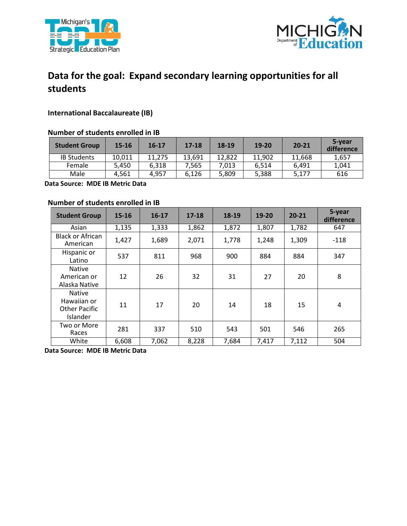



# **Data for the goal: Expand secondary learning opportunities for all students**

## **International Baccalaureate (IB)**

### **Number of students enrolled in IB**

| <b>Student Group</b> | $15 - 16$ | $16 - 17$ | $17 - 18$ | 18-19  | 19-20  | $20 - 21$ | 5-year<br>difference |
|----------------------|-----------|-----------|-----------|--------|--------|-----------|----------------------|
| <b>IB Students</b>   | 10.011    | 11.275    | 13.691    | 12.822 | 11.902 | 11,668    | 1,657                |
| Female               | 5.450     | 6.318     | 7.565     | 7.013  | 6.514  | 6.491     | 1,041                |
| Male                 | 4.561     | 4.957     | 6.126     | 5,809  | 5,388  | 5.177     | 616                  |

 **Data Source: MDE IB Metric Data** 

#### **Number of students enrolled in IB**

| <b>Student Group</b>                                             | $15 - 16$ | 16-17 | $17 - 18$ | 18-19 | 19-20 | $20 - 21$ | 5-year<br>difference |
|------------------------------------------------------------------|-----------|-------|-----------|-------|-------|-----------|----------------------|
| Asian                                                            | 1,135     | 1,333 | 1,862     | 1,872 | 1,807 | 1,782     | 647                  |
| <b>Black or African</b><br>American                              | 1,427     | 1,689 | 2,071     | 1,778 | 1,248 | 1,309     | $-118$               |
| Hispanic or<br>Latino                                            | 537       | 811   | 968       | 900   | 884   | 884       | 347                  |
| Native<br>American or<br>Alaska Native                           | 12        | 26    | 32        | 31    | 27    | 20        | 8                    |
| <b>Native</b><br>Hawaiian or<br><b>Other Pacific</b><br>Islander | 11        | 17    | 20        | 14    | 18    | 15        | 4                    |
| Two or More<br>Races                                             | 281       | 337   | 510       | 543   | 501   | 546       | 265                  |
| White                                                            | 6,608     | 7,062 | 8,228     | 7,684 | 7,417 | 7,112     | 504                  |

 **Data Source: MDE IB Metric Data**